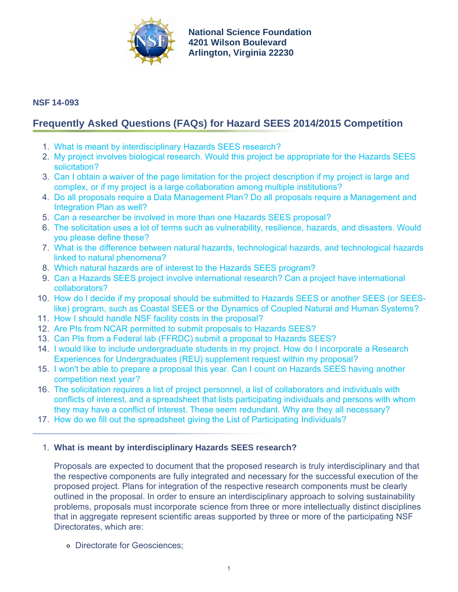

**[National Science Foundation](http://www.nsf.gov) 4201 Wilson Boulevard Arlington, Virginia 22230**

# **NSF 14-093**

# **Frequently Asked Questions (FAQs) for Hazard SEES 2014/2015 Competition**

- 1. [What is meant by interdisciplinary Hazards SEES research?](#page-0-0)
- 2. [My project involves biological research. Would this project be appropriate for the Hazards SEES](#page-1-0) [solicitation?](#page-1-0)
- 3. [Can I obtain a waiver of the page limitation for the project description if my project is large and](#page-1-1) [complex, or if my project is a large collaboration among multiple institutions?](#page-1-1)
- 4. [Do all proposals require a Data Management Plan? Do all proposals require a Management and](#page-1-2) [Integration Plan as well?](#page-1-2)
- 5. [Can a researcher be involved in more than one Hazards SEES proposal?](#page-1-3)
- 6. [The solicitation uses a lot of terms such as vulnerability, resilience, hazards, and disasters. Would](#page-2-0) [you please define these?](#page-2-0)
- 7. [What is the difference between natural hazards, technological hazards, and technological hazards](#page-2-1) [linked to natural phenomena?](#page-2-1)
- 8. [Which natural hazards are of interest to the Hazards SEES program?](#page-2-2)
- 9. [Can a Hazards SEES project involve international research? Can a project have international](#page-3-0) [collaborators?](#page-3-0)
- 10. [How do I decide if my proposal should be submitted to Hazards SEES or another SEES \(or SEES](#page-3-1)[like\) program, such as Coastal SEES or the Dynamics of Coupled Natural and Human Systems?](#page-3-1)
- 11. [How I should handle NSF facility costs in the proposal?](#page-3-2)
- 12. [Are PIs from NCAR permitted to submit proposals to Hazards SEES?](#page-4-0)
- 13. [Can PIs from a Federal lab \(FFRDC\) submit a proposal to Hazards SEES?](#page-4-1)
- 14. [I would like to include undergraduate students in my project. How do I incorporate a Research](#page-4-2) [Experiences for Undergraduates \(REU\) supplement request within my proposal?](#page-4-2)
- 15. [I won't be able to prepare a proposal this year. Can I count on Hazards SEES having another](#page-4-3) [competition next year?](#page-4-3)
- 16. [The solicitation requires a list of project personnel, a list of collaborators and individuals with](#page-4-4) [conflicts of interest, and a spreadsheet that lists participating individuals and persons with whom](#page-4-4) [they may have a conflict of interest. These seem redundant. Why are they all necessary?](#page-4-4)
- 17. [How do we fill out the spreadsheet giving the List of Participating Individuals?](#page-4-5)

# <span id="page-0-0"></span>1. **What is meant by interdisciplinary Hazards SEES research?**

Proposals are expected to document that the proposed research is truly interdisciplinary and that the respective components are fully integrated and necessary for the successful execution of the proposed project. Plans for integration of the respective research components must be clearly outlined in the proposal. In order to ensure an interdisciplinary approach to solving sustainability problems, proposals must incorporate science from three or more intellectually distinct disciplines that in aggregate represent scientific areas supported by three or more of the participating NSF Directorates, which are:

Directorate for Geosciences;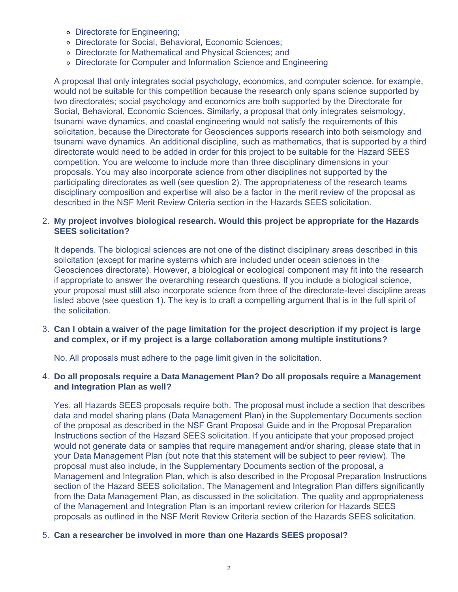- Directorate for Engineering;
- Directorate for Social, Behavioral, Economic Sciences;
- Directorate for Mathematical and Physical Sciences; and
- Directorate for Computer and Information Science and Engineering

A proposal that only integrates social psychology, economics, and computer science, for example, would not be suitable for this competition because the research only spans science supported by two directorates; social psychology and economics are both supported by the Directorate for Social, Behavioral, Economic Sciences. Similarly, a proposal that only integrates seismology, tsunami wave dynamics, and coastal engineering would not satisfy the requirements of this solicitation, because the Directorate for Geosciences supports research into both seismology and tsunami wave dynamics. An additional discipline, such as mathematics, that is supported by a third directorate would need to be added in order for this project to be suitable for the Hazard SEES competition. You are welcome to include more than three disciplinary dimensions in your proposals. You may also incorporate science from other disciplines not supported by the participating directorates as well (see question 2). The appropriateness of the research teams disciplinary composition and expertise will also be a factor in the merit review of the proposal as described in the NSF Merit Review Criteria section in the Hazards SEES solicitation.

## <span id="page-1-0"></span>2. **My project involves biological research. Would this project be appropriate for the Hazards SEES solicitation?**

It depends. The biological sciences are not one of the distinct disciplinary areas described in this solicitation (except for marine systems which are included under ocean sciences in the Geosciences directorate). However, a biological or ecological component may fit into the research if appropriate to answer the overarching research questions. If you include a biological science, your proposal must still also incorporate science from three of the directorate-level discipline areas listed above (see question 1). The key is to craft a compelling argument that is in the full spirit of the solicitation.

<span id="page-1-1"></span>3. **Can I obtain a waiver of the page limitation for the project description if my project is large and complex, or if my project is a large collaboration among multiple institutions?**

No. All proposals must adhere to the page limit given in the solicitation.

#### <span id="page-1-2"></span>4. **Do all proposals require a Data Management Plan? Do all proposals require a Management and Integration Plan as well?**

Yes, all Hazards SEES proposals require both. The proposal must include a section that describes data and model sharing plans (Data Management Plan) in the Supplementary Documents section of the proposal as described in the NSF Grant Proposal Guide and in the Proposal Preparation Instructions section of the Hazard SEES solicitation. If you anticipate that your proposed project would not generate data or samples that require management and/or sharing, please state that in your Data Management Plan (but note that this statement will be subject to peer review). The proposal must also include, in the Supplementary Documents section of the proposal, a Management and Integration Plan, which is also described in the Proposal Preparation Instructions section of the Hazard SEES solicitation. The Management and Integration Plan differs significantly from the Data Management Plan, as discussed in the solicitation. The quality and appropriateness of the Management and Integration Plan is an important review criterion for Hazards SEES proposals as outlined in the NSF Merit Review Criteria section of the Hazards SEES solicitation.

#### <span id="page-1-3"></span>5. **Can a researcher be involved in more than one Hazards SEES proposal?**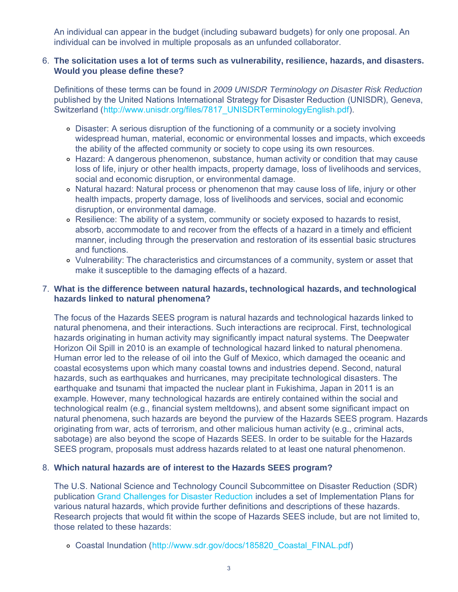An individual can appear in the budget (including subaward budgets) for only one proposal. An individual can be involved in multiple proposals as an unfunded collaborator.

#### <span id="page-2-0"></span>6. **The solicitation uses a lot of terms such as vulnerability, resilience, hazards, and disasters. Would you please define these?**

Definitions of these terms can be found in *2009 UNISDR Terminology on Disaster Risk Reduction* published by the United Nations International Strategy for Disaster Reduction (UNISDR), Geneva, Switzerland ([http://www.unisdr.org/files/7817\\_UNISDRTerminologyEnglish.pdf\)](http://www.nsf.gov/cgi-bin/goodbye?http://www.unisdr.org/files/7817_UNISDRTerminologyEnglish.pdf).

- Disaster: A serious disruption of the functioning of a community or a society involving widespread human, material, economic or environmental losses and impacts, which exceeds the ability of the affected community or society to cope using its own resources.
- Hazard: A dangerous phenomenon, substance, human activity or condition that may cause loss of life, injury or other health impacts, property damage, loss of livelihoods and services, social and economic disruption, or environmental damage.
- Natural hazard: Natural process or phenomenon that may cause loss of life, injury or other health impacts, property damage, loss of livelihoods and services, social and economic disruption, or environmental damage.
- Resilience: The ability of a system, community or society exposed to hazards to resist, absorb, accommodate to and recover from the effects of a hazard in a timely and efficient manner, including through the preservation and restoration of its essential basic structures and functions.
- Vulnerability: The characteristics and circumstances of a community, system or asset that make it susceptible to the damaging effects of a hazard.

# <span id="page-2-1"></span>7. **What is the difference between natural hazards, technological hazards, and technological hazards linked to natural phenomena?**

The focus of the Hazards SEES program is natural hazards and technological hazards linked to natural phenomena, and their interactions. Such interactions are reciprocal. First, technological hazards originating in human activity may significantly impact natural systems. The Deepwater Horizon Oil Spill in 2010 is an example of technological hazard linked to natural phenomena. Human error led to the release of oil into the Gulf of Mexico, which damaged the oceanic and coastal ecosystems upon which many coastal towns and industries depend. Second, natural hazards, such as earthquakes and hurricanes, may precipitate technological disasters. The earthquake and tsunami that impacted the nuclear plant in Fukishima, Japan in 2011 is an example. However, many technological hazards are entirely contained within the social and technological realm (e.g., financial system meltdowns), and absent some significant impact on natural phenomena, such hazards are beyond the purview of the Hazards SEES program. Hazards originating from war, acts of terrorism, and other malicious human activity (e.g., criminal acts, sabotage) are also beyond the scope of Hazards SEES. In order to be suitable for the Hazards SEES program, proposals must address hazards related to at least one natural phenomenon.

## <span id="page-2-2"></span>8. **Which natural hazards are of interest to the Hazards SEES program?**

The U.S. National Science and Technology Council Subcommittee on Disaster Reduction (SDR) publication [Grand Challenges for Disaster Reduction](http://www.sdr.gov/grandchallenges.html) includes a set of Implementation Plans for various natural hazards, which provide further definitions and descriptions of these hazards. Research projects that would fit within the scope of Hazards SEES include, but are not limited to, those related to these hazards:

Coastal Inundation ([http://www.sdr.gov/docs/185820\\_Coastal\\_FINAL.pdf](http://www.sdr.gov/docs/185820_Coastal_FINAL.pdf))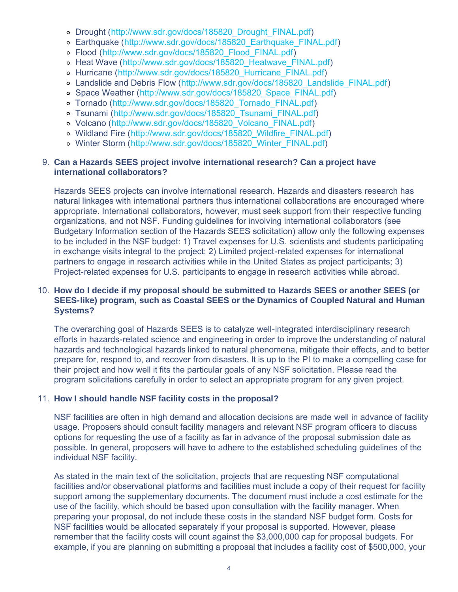- o Drought (http://www.sdr.gov/docs/185820 Drought FINAL.pdf)
- Earthquake ([http://www.sdr.gov/docs/185820\\_Earthquake\\_FINAL.pdf](http://www.sdr.gov/docs/185820_Earthquake_FINAL.pdf))
- Flood ([http://www.sdr.gov/docs/185820\\_Flood\\_FINAL.pdf](http://www.sdr.gov/docs/185820_Flood_FINAL.pdf))
- o Heat Wave (http://www.sdr.gov/docs/185820 Heatwave FINAL.pdf)
- o Hurricane (http://www.sdr.gov/docs/185820 Hurricane FINAL.pdf)
- Landslide and Debris Flow ([http://www.sdr.gov/docs/185820\\_Landslide\\_FINAL.pdf\)](http://www.sdr.gov/docs/185820_Landslide_FINAL.pdf)
- o Space Weather ([http://www.sdr.gov/docs/185820\\_Space\\_FINAL.pdf\)](http://www.sdr.gov/docs/185820_Space_FINAL.pdf)
- Tornado ([http://www.sdr.gov/docs/185820\\_Tornado\\_FINAL.pdf\)](http://www.sdr.gov/docs/185820_Tornado_FINAL.pdf)
- o Tsunami (http://www.sdr.gov/docs/185820 Tsunami\_FINAL.pdf)
- o Volcano ([http://www.sdr.gov/docs/185820\\_Volcano\\_FINAL.pdf](http://www.sdr.gov/docs/185820_Volcano_FINAL.pdf))
- o Wildland Fire ([http://www.sdr.gov/docs/185820\\_Wildfire\\_FINAL.pdf](http://www.sdr.gov/docs/185820_Wildfire_FINAL.pdf))
- o Winter Storm ([http://www.sdr.gov/docs/185820\\_Winter\\_FINAL.pdf](http://www.sdr.gov/docs/185820_Winter_FINAL.pdf))

#### <span id="page-3-0"></span>9. **Can a Hazards SEES project involve international research? Can a project have international collaborators?**

Hazards SEES projects can involve international research. Hazards and disasters research has natural linkages with international partners thus international collaborations are encouraged where appropriate. International collaborators, however, must seek support from their respective funding organizations, and not NSF. Funding guidelines for involving international collaborators (see Budgetary Information section of the Hazards SEES solicitation) allow only the following expenses to be included in the NSF budget: 1) Travel expenses for U.S. scientists and students participating in exchange visits integral to the project; 2) Limited project-related expenses for international partners to engage in research activities while in the United States as project participants; 3) Project-related expenses for U.S. participants to engage in research activities while abroad.

# <span id="page-3-1"></span>10. **How do I decide if my proposal should be submitted to Hazards SEES or another SEES (or SEES-like) program, such as Coastal SEES or the Dynamics of Coupled Natural and Human Systems?**

The overarching goal of Hazards SEES is to catalyze well-integrated interdisciplinary research efforts in hazards-related science and engineering in order to improve the understanding of natural hazards and technological hazards linked to natural phenomena, mitigate their effects, and to better prepare for, respond to, and recover from disasters. It is up to the PI to make a compelling case for their project and how well it fits the particular goals of any NSF solicitation. Please read the program solicitations carefully in order to select an appropriate program for any given project.

## <span id="page-3-2"></span>11. **How I should handle NSF facility costs in the proposal?**

NSF facilities are often in high demand and allocation decisions are made well in advance of facility usage. Proposers should consult facility managers and relevant NSF program officers to discuss options for requesting the use of a facility as far in advance of the proposal submission date as possible. In general, proposers will have to adhere to the established scheduling guidelines of the individual NSF facility.

As stated in the main text of the solicitation, projects that are requesting NSF computational facilities and/or observational platforms and facilities must include a copy of their request for facility support among the supplementary documents. The document must include a cost estimate for the use of the facility, which should be based upon consultation with the facility manager. When preparing your proposal, do not include these costs in the standard NSF budget form. Costs for NSF facilities would be allocated separately if your proposal is supported. However, please remember that the facility costs will count against the \$3,000,000 cap for proposal budgets. For example, if you are planning on submitting a proposal that includes a facility cost of \$500,000, your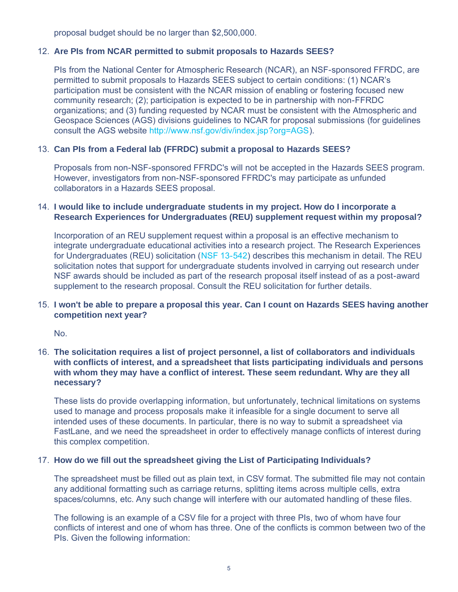proposal budget should be no larger than \$2,500,000.

# <span id="page-4-0"></span>12. **Are PIs from NCAR permitted to submit proposals to Hazards SEES?**

PIs from the National Center for Atmospheric Research (NCAR), an NSF-sponsored FFRDC, are permitted to submit proposals to Hazards SEES subject to certain conditions: (1) NCAR's participation must be consistent with the NCAR mission of enabling or fostering focused new community research; (2); participation is expected to be in partnership with non-FFRDC organizations; and (3) funding requested by NCAR must be consistent with the Atmospheric and Geospace Sciences (AGS) divisions guidelines to NCAR for proposal submissions (for guidelines consult the AGS website [http://www.nsf.gov/div/index.jsp?org=AGS\)](http://www.nsf.gov/div/index.jsp?org=ags).

# <span id="page-4-1"></span>13. **Can PIs from a Federal lab (FFRDC) submit a proposal to Hazards SEES?**

Proposals from non-NSF-sponsored FFRDC's will not be accepted in the Hazards SEES program. However, investigators from non-NSF-sponsored FFRDC's may participate as unfunded collaborators in a Hazards SEES proposal.

## <span id="page-4-2"></span>14. **I would like to include undergraduate students in my project. How do I incorporate a Research Experiences for Undergraduates (REU) supplement request within my proposal?**

Incorporation of an REU supplement request within a proposal is an effective mechanism to integrate undergraduate educational activities into a research project. The Research Experiences for Undergraduates (REU) solicitation ([NSF 13-542\)](http://www.nsf.gov/publications/pub_summ.jsp?ods_key=nsf13542) describes this mechanism in detail. The REU solicitation notes that support for undergraduate students involved in carrying out research under NSF awards should be included as part of the research proposal itself instead of as a post-award supplement to the research proposal. Consult the REU solicitation for further details.

# <span id="page-4-3"></span>15. **I won't be able to prepare a proposal this year. Can I count on Hazards SEES having another competition next year?**

No.

## <span id="page-4-4"></span>16. **The solicitation requires a list of project personnel, a list of collaborators and individuals with conflicts of interest, and a spreadsheet that lists participating individuals and persons with whom they may have a conflict of interest. These seem redundant. Why are they all necessary?**

These lists do provide overlapping information, but unfortunately, technical limitations on systems used to manage and process proposals make it infeasible for a single document to serve all intended uses of these documents. In particular, there is no way to submit a spreadsheet via FastLane, and we need the spreadsheet in order to effectively manage conflicts of interest during this complex competition.

## <span id="page-4-5"></span>17. **How do we fill out the spreadsheet giving the List of Participating Individuals?**

The spreadsheet must be filled out as plain text, in CSV format. The submitted file may not contain any additional formatting such as carriage returns, splitting items across multiple cells, extra spaces/columns, etc. Any such change will interfere with our automated handling of these files.

The following is an example of a CSV file for a project with three PIs, two of whom have four conflicts of interest and one of whom has three. One of the conflicts is common between two of the PIs. Given the following information: